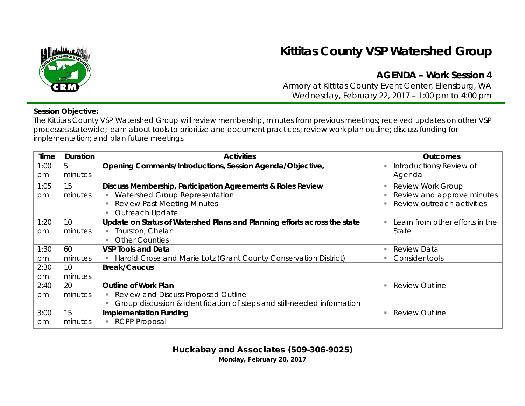

## **Kittitas County VSP Watershed Group**

## **AGENDA – Work Session 4**

Armory at Kittitas County Event Center, Ellensburg, WA Wednesday, February 22, 2017 – 1:00 pm to 4:00 pm

## **Session Objective:**

The Kittitas County VSP Watershed Group will review membership, minutes from previous meetings; received updates on other VSP processes statewide; learn about tools to prioritize and document practices; review work plan outline; discuss funding for implementation; and plan future meetings.

| Time | <b>Duration</b> | <b>Activities</b>                                                         | <b>Outcomes</b>                 |
|------|-----------------|---------------------------------------------------------------------------|---------------------------------|
| 1:00 | 5               | Opening Comments/Introductions, Session Agenda/Objective,                 | Introductions/Review of         |
| pm   | minutes         |                                                                           | Agenda                          |
| 1:05 | 15              | Discuss Membership, Participation Agreements & Roles Review               | <b>Review Work Group</b>        |
| pm   | minutes         | Watershed Group Representation                                            | Review and approve minutes      |
|      |                 | <b>Review Past Meeting Minutes</b>                                        | Review outreach activities      |
|      |                 | Outreach Update                                                           |                                 |
| 1:20 | 10              | Update on Status of Watershed Plans and Planning efforts across the state | Learn from other efforts in the |
| pm   | minutes         | Thurston, Chelan                                                          | State                           |
|      |                 | <b>Other Counties</b>                                                     |                                 |
| 1:30 | 60              | <b>VSP Tools and Data</b>                                                 | <b>Review Data</b>              |
| pm   | minutes         | Harold Crose and Marie Lotz (Grant County Conservation District)          | Consider tools                  |
| 2:30 | 10 <sup>°</sup> | <b>Break/Caucus</b>                                                       |                                 |
| pm   | minutes         |                                                                           |                                 |
| 2:40 | 20              | <b>Outline of Work Plan</b>                                               | <b>Review Outline</b>           |
| pm   | minutes         | Review and Discuss Proposed Outline                                       |                                 |
|      |                 | Group discussion & identification of steps and still-needed information   |                                 |
| 3:00 | 15              | <b>Implementation Funding</b>                                             | <b>Review Outline</b><br>٠      |
| pm   | minutes         | <b>RCPP Proposal</b>                                                      |                                 |

Huckabay and Associates (509-306-9025)

Monday, February 20, 2017